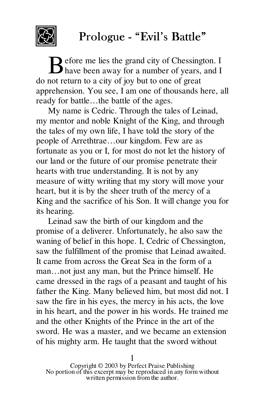

## Prologue - "Evil's Battle"

efore me lies the grand city of Chessington. I Before me lies the grand city of Chessington. I have been away for a number of years, and I do not return to a city of joy but to one of great apprehension. You see, I am one of thousands here, all ready for battle…the battle of the ages.

My name is Cedric. Through the tales of Leinad, my mentor and noble Knight of the King, and through the tales of my own life, I have told the story of the people of Arrethtrae…our kingdom. Few are as fortunate as you or I, for most do not let the history of our land or the future of our promise penetrate their hearts with true understanding. It is not by any measure of witty writing that my story will move your heart, but it is by the sheer truth of the mercy of a King and the sacrifice of his Son. It will change you for its hearing.

Leinad saw the birth of our kingdom and the promise of a deliverer. Unfortunately, he also saw the waning of belief in this hope. I, Cedric of Chessington, saw the fulfillment of the promise that Leinad awaited. It came from across the Great Sea in the form of a man…not just any man, but the Prince himself. He came dressed in the rags of a peasant and taught of his father the King. Many believed him, but most did not. I saw the fire in his eyes, the mercy in his acts, the love in his heart, and the power in his words. He trained me and the other Knights of the Prince in the art of the sword. He was a master, and we became an extension of his mighty arm. He taught that the sword without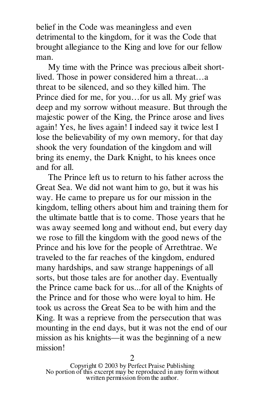belief in the Code was meaningless and even detrimental to the kingdom, for it was the Code that brought allegiance to the King and love for our fellow man.

My time with the Prince was precious albeit shortlived. Those in power considered him a threat…a threat to be silenced, and so they killed him. The Prince died for me, for you…for us all. My grief was deep and my sorrow without measure. But through the majestic power of the King, the Prince arose and lives again! Yes, he lives again! I indeed say it twice lest I lose the believability of my own memory, for that day shook the very foundation of the kingdom and will bring its enemy, the Dark Knight, to his knees once and for all.

The Prince left us to return to his father across the Great Sea. We did not want him to go, but it was his way. He came to prepare us for our mission in the kingdom, telling others about him and training them for the ultimate battle that is to come. Those years that he was away seemed long and without end, but every day we rose to fill the kingdom with the good news of the Prince and his love for the people of Arrethtrae. We traveled to the far reaches of the kingdom, endured many hardships, and saw strange happenings of all sorts, but those tales are for another day. Eventually the Prince came back for us...for all of the Knights of the Prince and for those who were loyal to him. He took us across the Great Sea to be with him and the King. It was a reprieve from the persecution that was mounting in the end days, but it was not the end of our mission as his knights—it was the beginning of a new mission!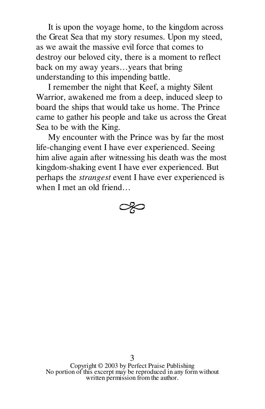It is upon the voyage home, to the kingdom across the Great Sea that my story resumes. Upon my steed, as we await the massive evil force that comes to destroy our beloved city, there is a moment to reflect back on my away years…years that bring understanding to this impending battle.

I remember the night that Keef, a mighty Silent Warrior, awakened me from a deep, induced sleep to board the ships that would take us home. The Prince came to gather his people and take us across the Great Sea to be with the King.

My encounter with the Prince was by far the most life-changing event I have ever experienced. Seeing him alive again after witnessing his death was the most kingdom-shaking event I have ever experienced. But perhaps the *strangest* event I have ever experienced is when I met an old friend…

$$
\textcolor{blue}{\textcircled{\sim}}
$$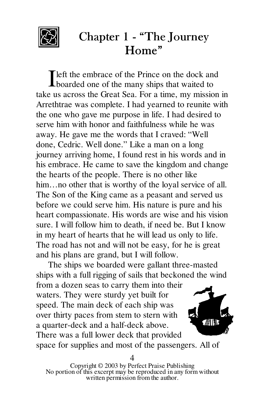

## Chapter 1 - "The Journey Home"

left the embrace of the Prince on the dock and I left the embrace of the Prince on the dock and<br>boarded one of the many ships that waited to take us across the Great Sea. For a time, my mission in Arrethtrae was complete. I had yearned to reunite with the one who gave me purpose in life. I had desired to serve him with honor and faithfulness while he was away. He gave me the words that I craved: "Well done, Cedric. Well done." Like a man on a long journey arriving home, I found rest in his words and in his embrace. He came to save the kingdom and change the hearts of the people. There is no other like him...no other that is worthy of the loyal service of all. The Son of the King came as a peasant and served us before we could serve him. His nature is pure and his heart compassionate. His words are wise and his vision sure. I will follow him to death, if need be. But I know in my heart of hearts that he will lead us only to life. The road has not and will not be easy, for he is great and his plans are grand, but I will follow.

The ships we boarded were gallant three-masted ships with a full rigging of sails that beckoned the wind from a dozen seas to carry them into their waters. They were sturdy yet built for speed. The main deck of each ship was over thirty paces from stem to stern with a quarter-deck and a half-deck above. There was a full lower deck that provided space for supplies and most of the passengers. All of

Copyright © 2003 by Perfect Praise Publishing No portion of this excerpt may be reproduced in any form without written permission from the author. 4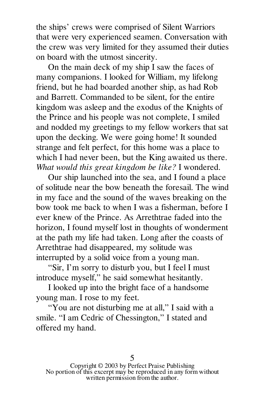the ships' crews were comprised of Silent Warriors that were very experienced seamen. Conversation with the crew was very limited for they assumed their duties on board with the utmost sincerity.

On the main deck of my ship I saw the faces of many companions. I looked for William, my lifelong friend, but he had boarded another ship, as had Rob and Barrett. Commanded to be silent, for the entire kingdom was asleep and the exodus of the Knights of the Prince and his people was not complete, I smiled and nodded my greetings to my fellow workers that sat upon the decking. We were going home! It sounded strange and felt perfect, for this home was a place to which I had never been, but the King awaited us there. *What would this great kingdom be like?* I wondered.

Our ship launched into the sea, and I found a place of solitude near the bow beneath the foresail. The wind in my face and the sound of the waves breaking on the bow took me back to when I was a fisherman, before I ever knew of the Prince. As Arrethtrae faded into the horizon, I found myself lost in thoughts of wonderment at the path my life had taken. Long after the coasts of Arrethtrae had disappeared, my solitude was interrupted by a solid voice from a young man.

"Sir, I'm sorry to disturb you, but I feel I must introduce myself," he said somewhat hesitantly.

I looked up into the bright face of a handsome young man. I rose to my feet.

"You are not disturbing me at all," I said with a smile. "I am Cedric of Chessington," I stated and offered my hand.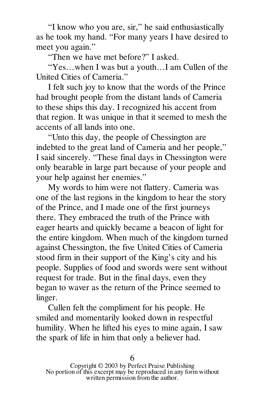"I know who you are, sir," he said enthusiastically as he took my hand. "For many years I have desired to meet you again."

"Then we have met before?" I asked.

"Yes…when I was but a youth…I am Cullen of the United Cities of Cameria."

I felt such joy to know that the words of the Prince had brought people from the distant lands of Cameria to these ships this day. I recognized his accent from that region. It was unique in that it seemed to mesh the accents of all lands into one.

"Unto this day, the people of Chessington are indebted to the great land of Cameria and her people," I said sincerely. "These final days in Chessington were only bearable in large part because of your people and your help against her enemies."

My words to him were not flattery. Cameria was one of the last regions in the kingdom to hear the story of the Prince, and I made one of the first journeys there. They embraced the truth of the Prince with eager hearts and quickly became a beacon of light for the entire kingdom. When much of the kingdom turned against Chessington, the five United Cities of Cameria stood firm in their support of the King's city and his people. Supplies of food and swords were sent without request for trade. But in the final days, even they began to waver as the return of the Prince seemed to linger.

Cullen felt the compliment for his people. He smiled and momentarily looked down in respectful humility. When he lifted his eyes to mine again, I saw the spark of life in him that only a believer had.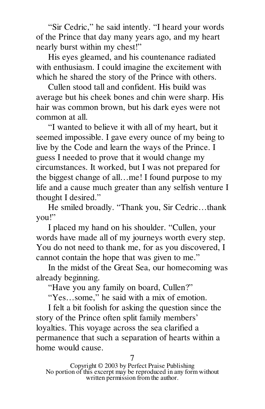"Sir Cedric," he said intently. "I heard your words of the Prince that day many years ago, and my heart nearly burst within my chest!"

His eyes gleamed, and his countenance radiated with enthusiasm. I could imagine the excitement with which he shared the story of the Prince with others.

Cullen stood tall and confident. His build was average but his cheek bones and chin were sharp. His hair was common brown, but his dark eyes were not common at all.

"I wanted to believe it with all of my heart, but it seemed impossible. I gave every ounce of my being to live by the Code and learn the ways of the Prince. I guess I needed to prove that it would change my circumstances. It worked, but I was not prepared for the biggest change of all…me! I found purpose to my life and a cause much greater than any selfish venture I thought I desired."

He smiled broadly. "Thank you, Sir Cedric…thank you!"

I placed my hand on his shoulder. "Cullen, your words have made all of my journeys worth every step. You do not need to thank me, for as you discovered, I cannot contain the hope that was given to me."

In the midst of the Great Sea, our homecoming was already beginning.

"Have you any family on board, Cullen?"

"Yes…some," he said with a mix of emotion.

I felt a bit foolish for asking the question since the story of the Prince often split family members' loyalties. This voyage across the sea clarified a permanence that such a separation of hearts within a home would cause.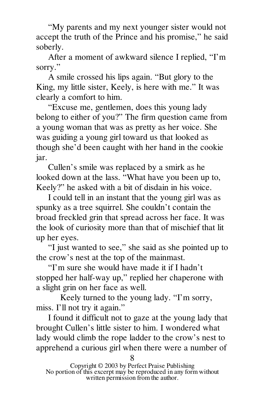"My parents and my next younger sister would not accept the truth of the Prince and his promise," he said soberly.

After a moment of awkward silence I replied, "I'm sorry."

A smile crossed his lips again. "But glory to the King, my little sister, Keely, is here with me." It was clearly a comfort to him.

"Excuse me, gentlemen, does this young lady belong to either of you?" The firm question came from a young woman that was as pretty as her voice. She was guiding a young girl toward us that looked as though she'd been caught with her hand in the cookie jar.

Cullen's smile was replaced by a smirk as he looked down at the lass. "What have you been up to, Keely?" he asked with a bit of disdain in his voice.

I could tell in an instant that the young girl was as spunky as a tree squirrel. She couldn't contain the broad freckled grin that spread across her face. It was the look of curiosity more than that of mischief that lit up her eyes.

"I just wanted to see," she said as she pointed up to the crow's nest at the top of the mainmast.

"I'm sure she would have made it if I hadn't stopped her half-way up," replied her chaperone with a slight grin on her face as well.

Keely turned to the young lady. "I'm sorry, miss. I'll not try it again."

I found it difficult not to gaze at the young lady that brought Cullen's little sister to him. I wondered what lady would climb the rope ladder to the crow's nest to apprehend a curious girl when there were a number of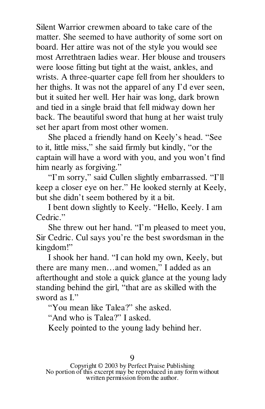Silent Warrior crewmen aboard to take care of the matter. She seemed to have authority of some sort on board. Her attire was not of the style you would see most Arrethtraen ladies wear. Her blouse and trousers were loose fitting but tight at the waist, ankles, and wrists. A three-quarter cape fell from her shoulders to her thighs. It was not the apparel of any I'd ever seen, but it suited her well. Her hair was long, dark brown and tied in a single braid that fell midway down her back. The beautiful sword that hung at her waist truly set her apart from most other women.

She placed a friendly hand on Keely's head. "See to it, little miss," she said firmly but kindly, "or the captain will have a word with you, and you won't find him nearly as forgiving."

"I'm sorry," said Cullen slightly embarrassed. "I'll keep a closer eye on her." He looked sternly at Keely, but she didn't seem bothered by it a bit.

I bent down slightly to Keely. "Hello, Keely. I am Cedric<sup>"</sup>

She threw out her hand. "I'm pleased to meet you, Sir Cedric. Cul says you're the best swordsman in the kingdom!"

I shook her hand. "I can hold my own, Keely, but there are many men…and women," I added as an afterthought and stole a quick glance at the young lady standing behind the girl, "that are as skilled with the sword as  $L"$ 

"You mean like Talea?" she asked.

"And who is Talea?" I asked.

Keely pointed to the young lady behind her.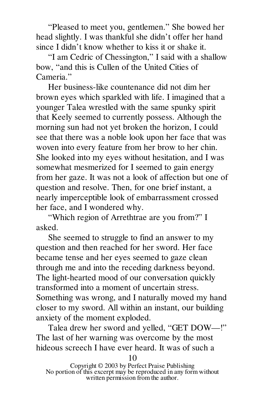"Pleased to meet you, gentlemen." She bowed her head slightly. I was thankful she didn't offer her hand since I didn't know whether to kiss it or shake it.

"I am Cedric of Chessington," I said with a shallow bow, "and this is Cullen of the United Cities of Cameria<sup>"</sup>

Her business-like countenance did not dim her brown eyes which sparkled with life. I imagined that a younger Talea wrestled with the same spunky spirit that Keely seemed to currently possess. Although the morning sun had not yet broken the horizon, I could see that there was a noble look upon her face that was woven into every feature from her brow to her chin. She looked into my eyes without hesitation, and I was somewhat mesmerized for I seemed to gain energy from her gaze. It was not a look of affection but one of question and resolve. Then, for one brief instant, a nearly imperceptible look of embarrassment crossed her face, and I wondered why.

"Which region of Arrethtrae are you from?" I asked.

She seemed to struggle to find an answer to my question and then reached for her sword. Her face became tense and her eyes seemed to gaze clean through me and into the receding darkness beyond. The light-hearted mood of our conversation quickly transformed into a moment of uncertain stress. Something was wrong, and I naturally moved my hand closer to my sword. All within an instant, our building anxiety of the moment exploded.

Talea drew her sword and yelled, "GET DOW—!" The last of her warning was overcome by the most hideous screech I have ever heard. It was of such a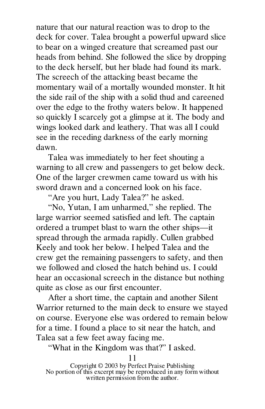nature that our natural reaction was to drop to the deck for cover. Talea brought a powerful upward slice to bear on a winged creature that screamed past our heads from behind. She followed the slice by dropping to the deck herself, but her blade had found its mark. The screech of the attacking beast became the momentary wail of a mortally wounded monster. It hit the side rail of the ship with a solid thud and careened over the edge to the frothy waters below. It happened so quickly I scarcely got a glimpse at it. The body and wings looked dark and leathery. That was all I could see in the receding darkness of the early morning dawn.

Talea was immediately to her feet shouting a warning to all crew and passengers to get below deck. One of the larger crewmen came toward us with his sword drawn and a concerned look on his face.

"Are you hurt, Lady Talea?" he asked.

"No, Yutan, I am unharmed," she replied. The large warrior seemed satisfied and left. The captain ordered a trumpet blast to warn the other ships—it spread through the armada rapidly. Cullen grabbed Keely and took her below. I helped Talea and the crew get the remaining passengers to safety, and then we followed and closed the hatch behind us. I could hear an occasional screech in the distance but nothing quite as close as our first encounter.

After a short time, the captain and another Silent Warrior returned to the main deck to ensure we stayed on course. Everyone else was ordered to remain below for a time. I found a place to sit near the hatch, and Talea sat a few feet away facing me.

"What in the Kingdom was that?" I asked.

Copyright © 2003 by Perfect Praise Publishing No portion of this excerpt may be reproduced in any form without written permission from the author.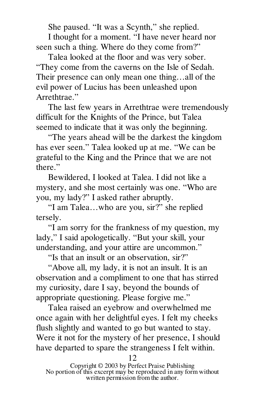She paused. "It was a Scynth," she replied.

I thought for a moment. "I have never heard nor seen such a thing. Where do they come from?"

Talea looked at the floor and was very sober. "They come from the caverns on the Isle of Sedah. Their presence can only mean one thing…all of the evil power of Lucius has been unleashed upon Arrethtrae."

The last few years in Arrethtrae were tremendously difficult for the Knights of the Prince, but Talea seemed to indicate that it was only the beginning.

"The years ahead will be the darkest the kingdom has ever seen." Talea looked up at me. "We can be grateful to the King and the Prince that we are not there."

Bewildered, I looked at Talea. I did not like a mystery, and she most certainly was one. "Who are you, my lady?" I asked rather abruptly.

"I am Talea…who are you, sir?" she replied tersely.

"I am sorry for the frankness of my question, my lady," I said apologetically. "But your skill, your understanding, and your attire are uncommon."

"Is that an insult or an observation, sir?"

"Above all, my lady, it is not an insult. It is an observation and a compliment to one that has stirred my curiosity, dare I say, beyond the bounds of appropriate questioning. Please forgive me."

Talea raised an eyebrow and overwhelmed me once again with her delightful eyes. I felt my cheeks flush slightly and wanted to go but wanted to stay. Were it not for the mystery of her presence, I should have departed to spare the strangeness I felt within.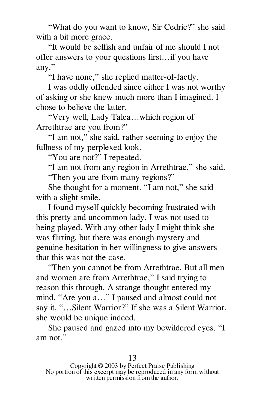"What do you want to know, Sir Cedric?" she said with a bit more grace.

"It would be selfish and unfair of me should I not offer answers to your questions first…if you have any."

"I have none," she replied matter-of-factly.

I was oddly offended since either I was not worthy of asking or she knew much more than I imagined. I chose to believe the latter.

"Very well, Lady Talea…which region of Arrethtrae are you from?"

"I am not," she said, rather seeming to enjoy the fullness of my perplexed look.

"You are not?" I repeated.

"I am not from any region in Arrethtrae," she said. "Then you are from many regions?"

She thought for a moment. "I am not," she said with a slight smile.

I found myself quickly becoming frustrated with this pretty and uncommon lady. I was not used to being played. With any other lady I might think she was flirting, but there was enough mystery and genuine hesitation in her willingness to give answers that this was not the case.

"Then you cannot be from Arrethtrae. But all men and women are from Arrethtrae," I said trying to reason this through. A strange thought entered my mind. "Are you a…" I paused and almost could not say it, "…Silent Warrior?" If she was a Silent Warrior, she would be unique indeed.

She paused and gazed into my bewildered eyes. "I am not"

Copyright © 2003 by Perfect Praise Publishing No portion of this excerpt may be reproduced in any form without written permission from the author.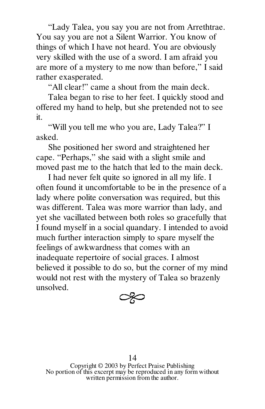"Lady Talea, you say you are not from Arrethtrae. You say you are not a Silent Warrior. You know of things of which I have not heard. You are obviously very skilled with the use of a sword. I am afraid you are more of a mystery to me now than before," I said rather exasperated.

"All clear!" came a shout from the main deck.

Talea began to rise to her feet. I quickly stood and offered my hand to help, but she pretended not to see it.

"Will you tell me who you are, Lady Talea?" I asked.

She positioned her sword and straightened her cape. "Perhaps," she said with a slight smile and moved past me to the hatch that led to the main deck.

I had never felt quite so ignored in all my life. I often found it uncomfortable to be in the presence of a lady where polite conversation was required, but this was different. Talea was more warrior than lady, and yet she vacillated between both roles so gracefully that I found myself in a social quandary. I intended to avoid much further interaction simply to spare myself the feelings of awkwardness that comes with an inadequate repertoire of social graces. I almost believed it possible to do so, but the corner of my mind would not rest with the mystery of Talea so brazenly unsolved.

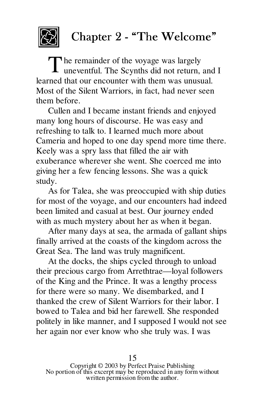

## Chapter 2 - "The Welcome"

he remainder of the voyage was largely The remainder of the voyage was largely<br>uneventful. The Scynths did not return, and I learned that our encounter with them was unusual. Most of the Silent Warriors, in fact, had never seen them before.

Cullen and I became instant friends and enjoyed many long hours of discourse. He was easy and refreshing to talk to. I learned much more about Cameria and hoped to one day spend more time there. Keely was a spry lass that filled the air with exuberance wherever she went. She coerced me into giving her a few fencing lessons. She was a quick study.

As for Talea, she was preoccupied with ship duties for most of the voyage, and our encounters had indeed been limited and casual at best. Our journey ended with as much mystery about her as when it began.

After many days at sea, the armada of gallant ships finally arrived at the coasts of the kingdom across the Great Sea. The land was truly magnificent.

At the docks, the ships cycled through to unload their precious cargo from Arrethtrae—loyal followers of the King and the Prince. It was a lengthy process for there were so many. We disembarked, and I thanked the crew of Silent Warriors for their labor. I bowed to Talea and bid her farewell. She responded politely in like manner, and I supposed I would not see her again nor ever know who she truly was. I was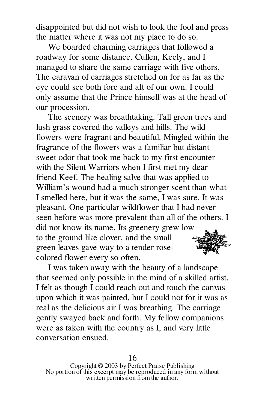disappointed but did not wish to look the fool and press the matter where it was not my place to do so.

We boarded charming carriages that followed a roadway for some distance. Cullen, Keely, and I managed to share the same carriage with five others. The caravan of carriages stretched on for as far as the eye could see both fore and aft of our own. I could only assume that the Prince himself was at the head of our procession.

The scenery was breathtaking. Tall green trees and lush grass covered the valleys and hills. The wild flowers were fragrant and beautiful. Mingled within the fragrance of the flowers was a familiar but distant sweet odor that took me back to my first encounter with the Silent Warriors when I first met my dear friend Keef. The healing salve that was applied to William's wound had a much stronger scent than what I smelled here, but it was the same, I was sure. It was pleasant. One particular wildflower that I had never seen before was more prevalent than all of the others. I did not know its name. Its greenery grew low to the ground like clover, and the small green leaves gave way to a tender rosecolored flower every so often.

I was taken away with the beauty of a landscape that seemed only possible in the mind of a skilled artist. I felt as though I could reach out and touch the canvas upon which it was painted, but I could not for it was as real as the delicious air I was breathing. The carriage gently swayed back and forth. My fellow companions were as taken with the country as I, and very little conversation ensued.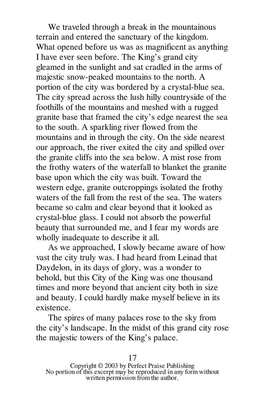We traveled through a break in the mountainous terrain and entered the sanctuary of the kingdom. What opened before us was as magnificent as anything I have ever seen before. The King's grand city gleamed in the sunlight and sat cradled in the arms of majestic snow-peaked mountains to the north. A portion of the city was bordered by a crystal-blue sea. The city spread across the lush hilly countryside of the foothills of the mountains and meshed with a rugged granite base that framed the city's edge nearest the sea to the south. A sparkling river flowed from the mountains and in through the city. On the side nearest our approach, the river exited the city and spilled over the granite cliffs into the sea below. A mist rose from the frothy waters of the waterfall to blanket the granite base upon which the city was built. Toward the western edge, granite outcroppings isolated the frothy waters of the fall from the rest of the sea. The waters became so calm and clear beyond that it looked as crystal-blue glass. I could not absorb the powerful beauty that surrounded me, and I fear my words are wholly inadequate to describe it all.

As we approached, I slowly became aware of how vast the city truly was. I had heard from Leinad that Daydelon, in its days of glory, was a wonder to behold, but this City of the King was one thousand times and more beyond that ancient city both in size and beauty. I could hardly make myself believe in its existence.

The spires of many palaces rose to the sky from the city's landscape. In the midst of this grand city rose the majestic towers of the King's palace.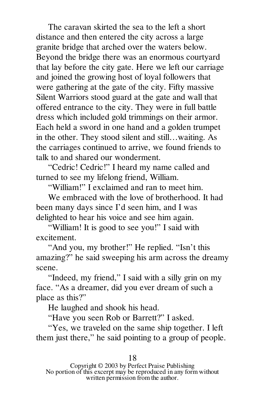The caravan skirted the sea to the left a short distance and then entered the city across a large granite bridge that arched over the waters below. Beyond the bridge there was an enormous courtyard that lay before the city gate. Here we left our carriage and joined the growing host of loyal followers that were gathering at the gate of the city. Fifty massive Silent Warriors stood guard at the gate and wall that offered entrance to the city. They were in full battle dress which included gold trimmings on their armor. Each held a sword in one hand and a golden trumpet in the other. They stood silent and still…waiting. As the carriages continued to arrive, we found friends to talk to and shared our wonderment.

"Cedric! Cedric!" I heard my name called and turned to see my lifelong friend, William.

"William!" I exclaimed and ran to meet him.

We embraced with the love of brotherhood. It had been many days since I'd seen him, and I was delighted to hear his voice and see him again.

"William! It is good to see you!" I said with excitement.

"And you, my brother!" He replied. "Isn't this amazing?" he said sweeping his arm across the dreamy scene.

"Indeed, my friend," I said with a silly grin on my face. "As a dreamer, did you ever dream of such a place as this?"

He laughed and shook his head.

"Have you seen Rob or Barrett?" I asked.

"Yes, we traveled on the same ship together. I left them just there," he said pointing to a group of people.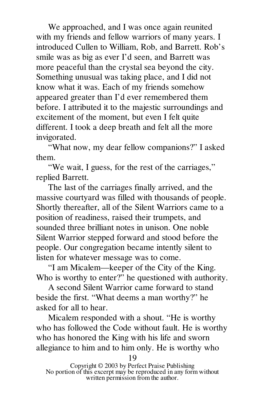We approached, and I was once again reunited with my friends and fellow warriors of many years. I introduced Cullen to William, Rob, and Barrett. Rob's smile was as big as ever I'd seen, and Barrett was more peaceful than the crystal sea beyond the city. Something unusual was taking place, and I did not know what it was. Each of my friends somehow appeared greater than I'd ever remembered them before. I attributed it to the majestic surroundings and excitement of the moment, but even I felt quite different. I took a deep breath and felt all the more invigorated.

"What now, my dear fellow companions?" I asked them.

"We wait, I guess, for the rest of the carriages," replied Barrett.

The last of the carriages finally arrived, and the massive courtyard was filled with thousands of people. Shortly thereafter, all of the Silent Warriors came to a position of readiness, raised their trumpets, and sounded three brilliant notes in unison. One noble Silent Warrior stepped forward and stood before the people. Our congregation became intently silent to listen for whatever message was to come.

"I am Micalem—keeper of the City of the King. Who is worthy to enter?" he questioned with authority.

A second Silent Warrior came forward to stand beside the first. "What deems a man worthy?" he asked for all to hear.

Micalem responded with a shout. "He is worthy who has followed the Code without fault. He is worthy who has honored the King with his life and sworn allegiance to him and to him only. He is worthy who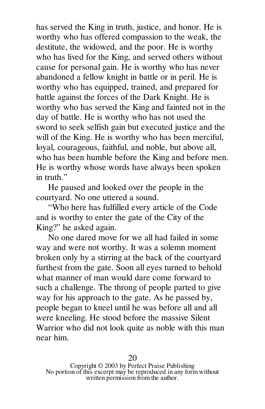has served the King in truth, justice, and honor. He is worthy who has offered compassion to the weak, the destitute, the widowed, and the poor. He is worthy who has lived for the King, and served others without cause for personal gain. He is worthy who has never abandoned a fellow knight in battle or in peril. He is worthy who has equipped, trained, and prepared for battle against the forces of the Dark Knight. He is worthy who has served the King and fainted not in the day of battle. He is worthy who has not used the sword to seek selfish gain but executed justice and the will of the King. He is worthy who has been merciful, loyal, courageous, faithful, and noble, but above all, who has been humble before the King and before men. He is worthy whose words have always been spoken in truth."

He paused and looked over the people in the courtyard. No one uttered a sound.

"Who here has fulfilled every article of the Code and is worthy to enter the gate of the City of the King?" he asked again.

No one dared move for we all had failed in some way and were not worthy. It was a solemn moment broken only by a stirring at the back of the courtyard furthest from the gate. Soon all eyes turned to behold what manner of man would dare come forward to such a challenge. The throng of people parted to give way for his approach to the gate. As he passed by, people began to kneel until he was before all and all were kneeling. He stood before the massive Silent Warrior who did not look quite as noble with this man near him.

Copyright © 2003 by Perfect Praise Publishing No portion of this excerpt may be reproduced in any form without written permission from the author.